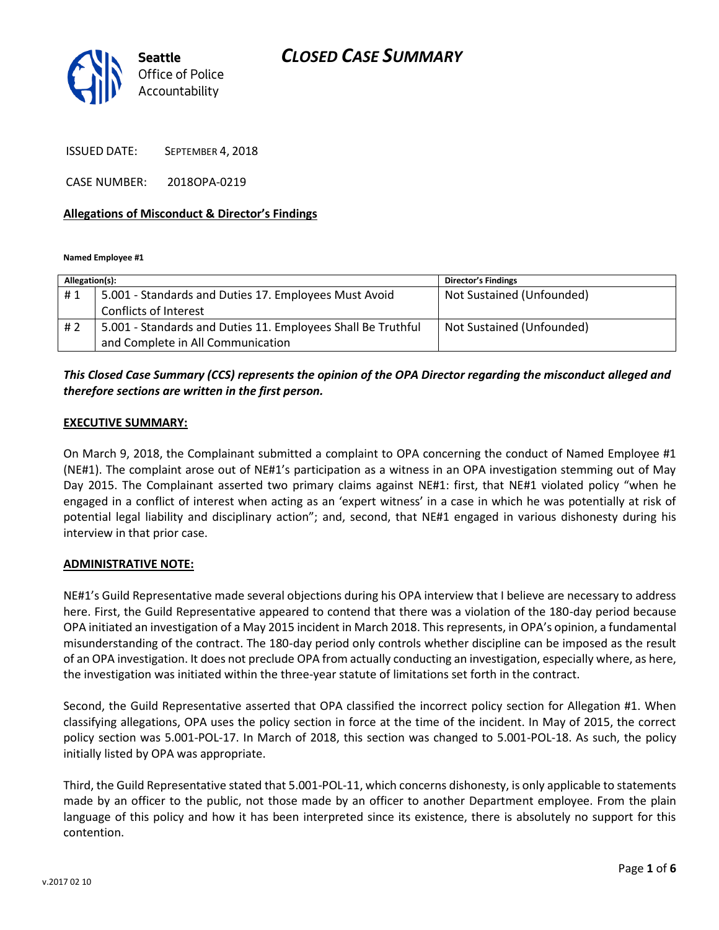

ISSUED DATE: SEPTEMBER 4, 2018

CASE NUMBER: 2018OPA-0219

#### **Allegations of Misconduct & Director's Findings**

**Named Employee #1**

| Allegation(s): |                                                              | Director's Findings       |
|----------------|--------------------------------------------------------------|---------------------------|
| #1             | 5.001 - Standards and Duties 17. Employees Must Avoid        | Not Sustained (Unfounded) |
|                | Conflicts of Interest                                        |                           |
| #2             | 5.001 - Standards and Duties 11. Employees Shall Be Truthful | Not Sustained (Unfounded) |
|                | and Complete in All Communication                            |                           |

### *This Closed Case Summary (CCS) represents the opinion of the OPA Director regarding the misconduct alleged and therefore sections are written in the first person.*

#### **EXECUTIVE SUMMARY:**

On March 9, 2018, the Complainant submitted a complaint to OPA concerning the conduct of Named Employee #1 (NE#1). The complaint arose out of NE#1's participation as a witness in an OPA investigation stemming out of May Day 2015. The Complainant asserted two primary claims against NE#1: first, that NE#1 violated policy "when he engaged in a conflict of interest when acting as an 'expert witness' in a case in which he was potentially at risk of potential legal liability and disciplinary action"; and, second, that NE#1 engaged in various dishonesty during his interview in that prior case.

#### **ADMINISTRATIVE NOTE:**

NE#1's Guild Representative made several objections during his OPA interview that I believe are necessary to address here. First, the Guild Representative appeared to contend that there was a violation of the 180-day period because OPA initiated an investigation of a May 2015 incident in March 2018. This represents, in OPA's opinion, a fundamental misunderstanding of the contract. The 180-day period only controls whether discipline can be imposed as the result of an OPA investigation. It does not preclude OPA from actually conducting an investigation, especially where, as here, the investigation was initiated within the three-year statute of limitations set forth in the contract.

Second, the Guild Representative asserted that OPA classified the incorrect policy section for Allegation #1. When classifying allegations, OPA uses the policy section in force at the time of the incident. In May of 2015, the correct policy section was 5.001-POL-17. In March of 2018, this section was changed to 5.001-POL-18. As such, the policy initially listed by OPA was appropriate.

Third, the Guild Representative stated that 5.001-POL-11, which concerns dishonesty, is only applicable to statements made by an officer to the public, not those made by an officer to another Department employee. From the plain language of this policy and how it has been interpreted since its existence, there is absolutely no support for this contention.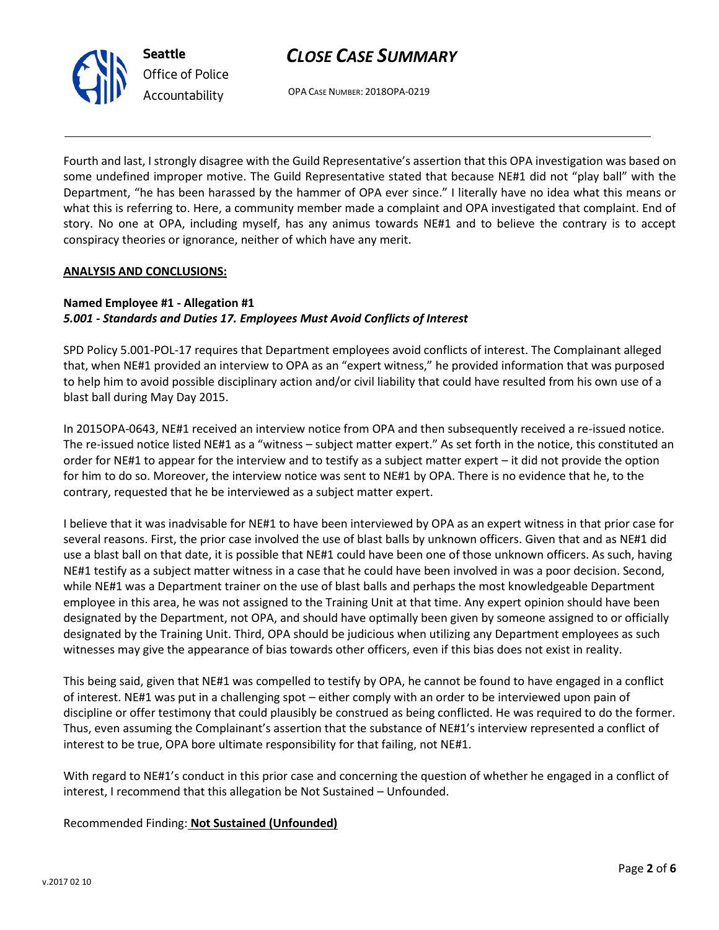

OPA CASE NUMBER: 2018OPA-0219

Fourth and last, I strongly disagree with the Guild Representative's assertion that this OPA investigation was based on some undefined improper motive. The Guild Representative stated that because NE#1 did not "play ball" with the Department, "he has been harassed by the hammer of OPA ever since." I literally have no idea what this means or what this is referring to. Here, a community member made a complaint and OPA investigated that complaint. End of story. No one at OPA, including myself, has any animus towards NE#1 and to believe the contrary is to accept conspiracy theories or ignorance, neither of which have any merit.

### **ANALYSIS AND CONCLUSIONS:**

### **Named Employee #1 - Allegation #1** *5.001 - Standards and Duties 17. Employees Must Avoid Conflicts of Interest*

SPD Policy 5.001-POL-17 requires that Department employees avoid conflicts of interest. The Complainant alleged that, when NE#1 provided an interview to OPA as an "expert witness," he provided information that was purposed to help him to avoid possible disciplinary action and/or civil liability that could have resulted from his own use of a blast ball during May Day 2015.

In 2015OPA-0643, NE#1 received an interview notice from OPA and then subsequently received a re-issued notice. The re-issued notice listed NE#1 as a "witness – subject matter expert." As set forth in the notice, this constituted an order for NE#1 to appear for the interview and to testify as a subject matter expert – it did not provide the option for him to do so. Moreover, the interview notice was sent to NE#1 by OPA. There is no evidence that he, to the contrary, requested that he be interviewed as a subject matter expert.

I believe that it was inadvisable for NE#1 to have been interviewed by OPA as an expert witness in that prior case for several reasons. First, the prior case involved the use of blast balls by unknown officers. Given that and as NE#1 did use a blast ball on that date, it is possible that NE#1 could have been one of those unknown officers. As such, having NE#1 testify as a subject matter witness in a case that he could have been involved in was a poor decision. Second, while NE#1 was a Department trainer on the use of blast balls and perhaps the most knowledgeable Department employee in this area, he was not assigned to the Training Unit at that time. Any expert opinion should have been designated by the Department, not OPA, and should have optimally been given by someone assigned to or officially designated by the Training Unit. Third, OPA should be judicious when utilizing any Department employees as such witnesses may give the appearance of bias towards other officers, even if this bias does not exist in reality.

This being said, given that NE#1 was compelled to testify by OPA, he cannot be found to have engaged in a conflict of interest. NE#1 was put in a challenging spot – either comply with an order to be interviewed upon pain of discipline or offer testimony that could plausibly be construed as being conflicted. He was required to do the former. Thus, even assuming the Complainant's assertion that the substance of NE#1's interview represented a conflict of interest to be true, OPA bore ultimate responsibility for that failing, not NE#1.

With regard to NE#1's conduct in this prior case and concerning the question of whether he engaged in a conflict of interest, I recommend that this allegation be Not Sustained – Unfounded.

Recommended Finding: **Not Sustained (Unfounded)**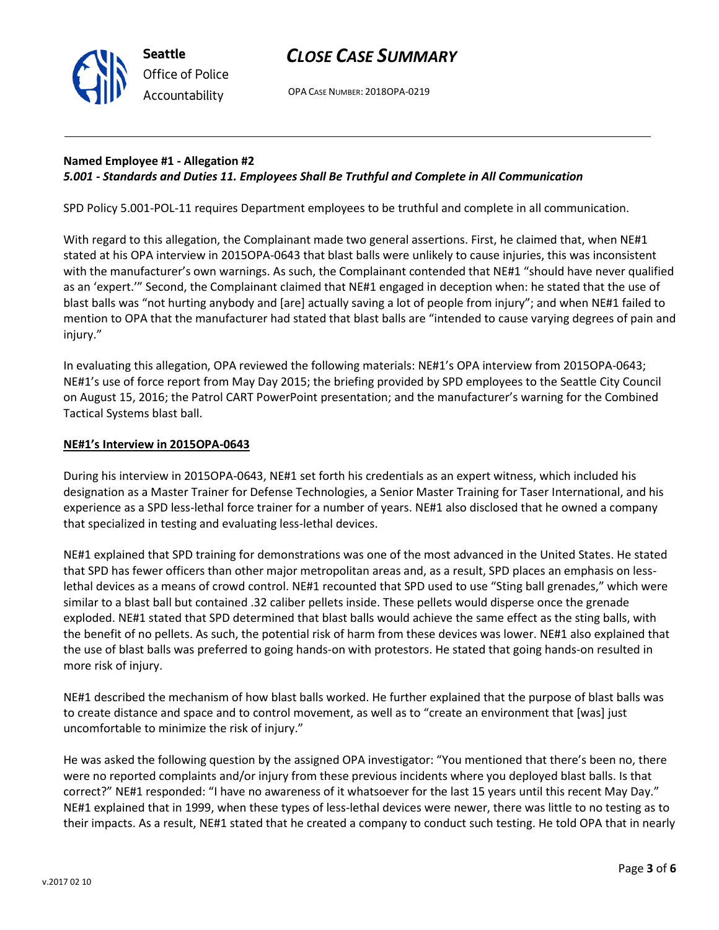

OPA CASE NUMBER: 2018OPA-0219

### **Named Employee #1 - Allegation #2** *5.001 - Standards and Duties 11. Employees Shall Be Truthful and Complete in All Communication*

SPD Policy 5.001-POL-11 requires Department employees to be truthful and complete in all communication.

With regard to this allegation, the Complainant made two general assertions. First, he claimed that, when NE#1 stated at his OPA interview in 2015OPA-0643 that blast balls were unlikely to cause injuries, this was inconsistent with the manufacturer's own warnings. As such, the Complainant contended that NE#1 "should have never qualified as an 'expert.'" Second, the Complainant claimed that NE#1 engaged in deception when: he stated that the use of blast balls was "not hurting anybody and [are] actually saving a lot of people from injury"; and when NE#1 failed to mention to OPA that the manufacturer had stated that blast balls are "intended to cause varying degrees of pain and injury."

In evaluating this allegation, OPA reviewed the following materials: NE#1's OPA interview from 2015OPA-0643; NE#1's use of force report from May Day 2015; the briefing provided by SPD employees to the Seattle City Council on August 15, 2016; the Patrol CART PowerPoint presentation; and the manufacturer's warning for the Combined Tactical Systems blast ball.

### **NE#1's Interview in 2015OPA-0643**

During his interview in 2015OPA-0643, NE#1 set forth his credentials as an expert witness, which included his designation as a Master Trainer for Defense Technologies, a Senior Master Training for Taser International, and his experience as a SPD less-lethal force trainer for a number of years. NE#1 also disclosed that he owned a company that specialized in testing and evaluating less-lethal devices.

NE#1 explained that SPD training for demonstrations was one of the most advanced in the United States. He stated that SPD has fewer officers than other major metropolitan areas and, as a result, SPD places an emphasis on lesslethal devices as a means of crowd control. NE#1 recounted that SPD used to use "Sting ball grenades," which were similar to a blast ball but contained .32 caliber pellets inside. These pellets would disperse once the grenade exploded. NE#1 stated that SPD determined that blast balls would achieve the same effect as the sting balls, with the benefit of no pellets. As such, the potential risk of harm from these devices was lower. NE#1 also explained that the use of blast balls was preferred to going hands-on with protestors. He stated that going hands-on resulted in more risk of injury.

NE#1 described the mechanism of how blast balls worked. He further explained that the purpose of blast balls was to create distance and space and to control movement, as well as to "create an environment that [was] just uncomfortable to minimize the risk of injury."

He was asked the following question by the assigned OPA investigator: "You mentioned that there's been no, there were no reported complaints and/or injury from these previous incidents where you deployed blast balls. Is that correct?" NE#1 responded: "I have no awareness of it whatsoever for the last 15 years until this recent May Day." NE#1 explained that in 1999, when these types of less-lethal devices were newer, there was little to no testing as to their impacts. As a result, NE#1 stated that he created a company to conduct such testing. He told OPA that in nearly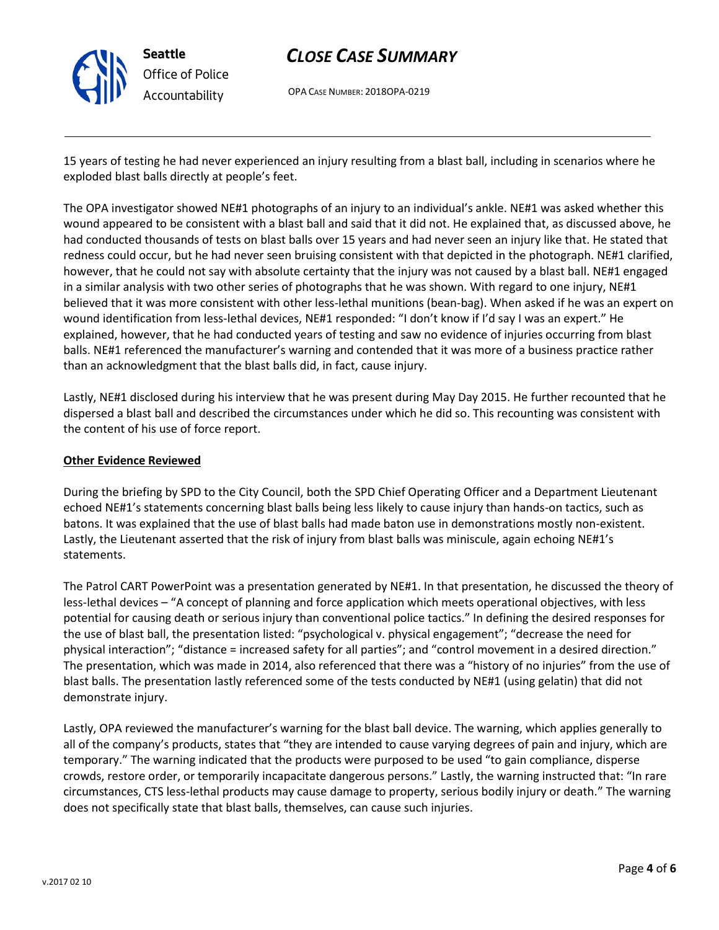

OPA CASE NUMBER: 2018OPA-0219

15 years of testing he had never experienced an injury resulting from a blast ball, including in scenarios where he exploded blast balls directly at people's feet.

The OPA investigator showed NE#1 photographs of an injury to an individual's ankle. NE#1 was asked whether this wound appeared to be consistent with a blast ball and said that it did not. He explained that, as discussed above, he had conducted thousands of tests on blast balls over 15 years and had never seen an injury like that. He stated that redness could occur, but he had never seen bruising consistent with that depicted in the photograph. NE#1 clarified, however, that he could not say with absolute certainty that the injury was not caused by a blast ball. NE#1 engaged in a similar analysis with two other series of photographs that he was shown. With regard to one injury, NE#1 believed that it was more consistent with other less-lethal munitions (bean-bag). When asked if he was an expert on wound identification from less-lethal devices, NE#1 responded: "I don't know if I'd say I was an expert." He explained, however, that he had conducted years of testing and saw no evidence of injuries occurring from blast balls. NE#1 referenced the manufacturer's warning and contended that it was more of a business practice rather than an acknowledgment that the blast balls did, in fact, cause injury.

Lastly, NE#1 disclosed during his interview that he was present during May Day 2015. He further recounted that he dispersed a blast ball and described the circumstances under which he did so. This recounting was consistent with the content of his use of force report.

### **Other Evidence Reviewed**

During the briefing by SPD to the City Council, both the SPD Chief Operating Officer and a Department Lieutenant echoed NE#1's statements concerning blast balls being less likely to cause injury than hands-on tactics, such as batons. It was explained that the use of blast balls had made baton use in demonstrations mostly non-existent. Lastly, the Lieutenant asserted that the risk of injury from blast balls was miniscule, again echoing NE#1's statements.

The Patrol CART PowerPoint was a presentation generated by NE#1. In that presentation, he discussed the theory of less-lethal devices – "A concept of planning and force application which meets operational objectives, with less potential for causing death or serious injury than conventional police tactics." In defining the desired responses for the use of blast ball, the presentation listed: "psychological v. physical engagement"; "decrease the need for physical interaction"; "distance = increased safety for all parties"; and "control movement in a desired direction." The presentation, which was made in 2014, also referenced that there was a "history of no injuries" from the use of blast balls. The presentation lastly referenced some of the tests conducted by NE#1 (using gelatin) that did not demonstrate injury.

Lastly, OPA reviewed the manufacturer's warning for the blast ball device. The warning, which applies generally to all of the company's products, states that "they are intended to cause varying degrees of pain and injury, which are temporary." The warning indicated that the products were purposed to be used "to gain compliance, disperse crowds, restore order, or temporarily incapacitate dangerous persons." Lastly, the warning instructed that: "In rare circumstances, CTS less-lethal products may cause damage to property, serious bodily injury or death." The warning does not specifically state that blast balls, themselves, can cause such injuries.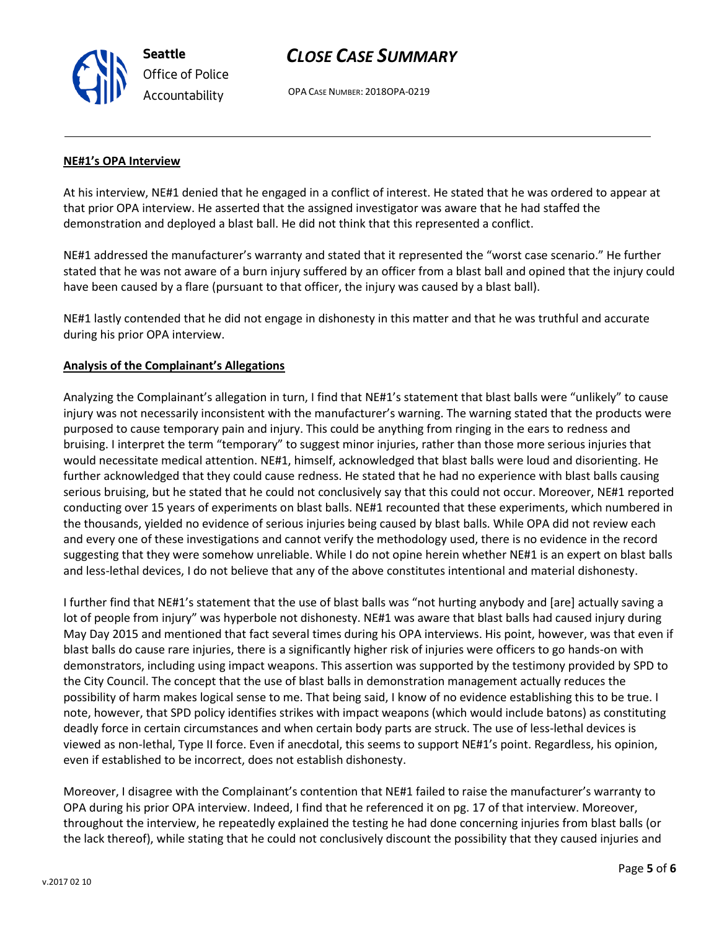OPA CASE NUMBER: 2018OPA-0219

#### **NE#1's OPA Interview**

At his interview, NE#1 denied that he engaged in a conflict of interest. He stated that he was ordered to appear at that prior OPA interview. He asserted that the assigned investigator was aware that he had staffed the demonstration and deployed a blast ball. He did not think that this represented a conflict.

NE#1 addressed the manufacturer's warranty and stated that it represented the "worst case scenario." He further stated that he was not aware of a burn injury suffered by an officer from a blast ball and opined that the injury could have been caused by a flare (pursuant to that officer, the injury was caused by a blast ball).

NE#1 lastly contended that he did not engage in dishonesty in this matter and that he was truthful and accurate during his prior OPA interview.

#### **Analysis of the Complainant's Allegations**

Analyzing the Complainant's allegation in turn, I find that NE#1's statement that blast balls were "unlikely" to cause injury was not necessarily inconsistent with the manufacturer's warning. The warning stated that the products were purposed to cause temporary pain and injury. This could be anything from ringing in the ears to redness and bruising. I interpret the term "temporary" to suggest minor injuries, rather than those more serious injuries that would necessitate medical attention. NE#1, himself, acknowledged that blast balls were loud and disorienting. He further acknowledged that they could cause redness. He stated that he had no experience with blast balls causing serious bruising, but he stated that he could not conclusively say that this could not occur. Moreover, NE#1 reported conducting over 15 years of experiments on blast balls. NE#1 recounted that these experiments, which numbered in the thousands, yielded no evidence of serious injuries being caused by blast balls. While OPA did not review each and every one of these investigations and cannot verify the methodology used, there is no evidence in the record suggesting that they were somehow unreliable. While I do not opine herein whether NE#1 is an expert on blast balls and less-lethal devices, I do not believe that any of the above constitutes intentional and material dishonesty.

I further find that NE#1's statement that the use of blast balls was "not hurting anybody and [are] actually saving a lot of people from injury" was hyperbole not dishonesty. NE#1 was aware that blast balls had caused injury during May Day 2015 and mentioned that fact several times during his OPA interviews. His point, however, was that even if blast balls do cause rare injuries, there is a significantly higher risk of injuries were officers to go hands-on with demonstrators, including using impact weapons. This assertion was supported by the testimony provided by SPD to the City Council. The concept that the use of blast balls in demonstration management actually reduces the possibility of harm makes logical sense to me. That being said, I know of no evidence establishing this to be true. I note, however, that SPD policy identifies strikes with impact weapons (which would include batons) as constituting deadly force in certain circumstances and when certain body parts are struck. The use of less-lethal devices is viewed as non-lethal, Type II force. Even if anecdotal, this seems to support NE#1's point. Regardless, his opinion, even if established to be incorrect, does not establish dishonesty.

Moreover, I disagree with the Complainant's contention that NE#1 failed to raise the manufacturer's warranty to OPA during his prior OPA interview. Indeed, I find that he referenced it on pg. 17 of that interview. Moreover, throughout the interview, he repeatedly explained the testing he had done concerning injuries from blast balls (or the lack thereof), while stating that he could not conclusively discount the possibility that they caused injuries and